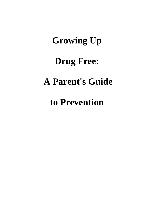# **Growing Up Drug Free: A Parent's Guide**

**to Prevention**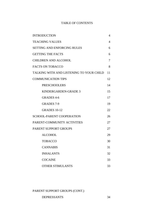## TABLE OF CONTENTS

| <b>INTRODUCTION</b>                      | 4  |
|------------------------------------------|----|
| <b>TEACHING VALUES</b>                   | 4  |
| <b>SETTING AND ENFORCING RULES</b>       | 6  |
| <b>GETTING THE FACTS</b>                 | 6  |
| <b>CHILDREN AND ALCOHOL</b>              | 7  |
| <b>FACTS ON TOBACCO</b>                  | 8  |
| TALKING WITH AND LISTENING TO YOUR CHILD | 11 |
| <b>COMMUNICATION TIPS</b>                | 12 |
| <b>PRESCHOOLERS</b>                      | 14 |
| KINDERGARDEN-GRADE 3                     | 15 |
| <b>GRADES 4-6</b>                        | 17 |
| <b>GRADES 7-9</b>                        | 19 |
| <b>GRADES 10-12</b>                      | 22 |
| <b>SCHOOL-PARENT COOPERATION</b>         | 26 |
| PARENT-COMMUNITY ACTIVITIES              | 27 |
| PARENT SUPPORT GROUPS                    | 27 |
| <b>ALCOHOL</b>                           | 29 |
| <b>TOBACCO</b>                           | 30 |
| <b>CANNABIS</b>                          | 31 |
| <b>INHALANTS</b>                         | 32 |
| <b>COCAINE</b>                           | 33 |
| <b>OTHER STIMULANTS</b>                  | 33 |

### PARENT SUPPORT GROUPS (CONT.)

DEPRESSANTS 34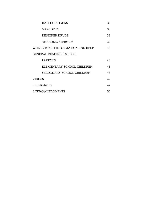| <b>HALLUCINOGENS</b>              | 35 |
|-----------------------------------|----|
| <b>NARCOTICS</b>                  | 36 |
| <b>DESIGNER DRUGS</b>             | 38 |
| <b>ANABOLIC STEROIDS</b>          | 39 |
| WHERE TO GET INFORMATION AND HELP | 40 |
| <b>GENERAL READING LIST FOR</b>   |    |
| <b>PARENTS</b>                    | 44 |
| ELEMENTARY SCHOOL CHILDREN        | 45 |
| <b>SECONDARY SCHOOL CHILDREN</b>  | 46 |
| <b>VIDEOS</b>                     | 47 |
| <b>REFERENCES</b>                 | 47 |
| <b>ACKNOWLEDGMENTS</b>            | 50 |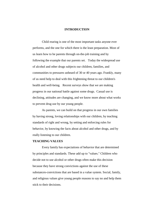#### **INTRODUCTION**

Child rearing is one of the most important tasks anyone ever performs, and the one for which there is the least preparation. Most of us learn how to be parents through on-the-job training and by following the example that our parents set. Today the widespread use of alcohol and other drugs subjects our children, families, and communities to pressures unheard of 30 or 40 years ago. Frankly, many of us need help to deal with this frightening threat to our children's health and well-being. Recent surveys show that we are making progress in our national battle against some drugs. Casual use is declining, attitudes are changing, and we know more about what works to prevent drug use by our young people.

As parents, we can build on that progress in our own families by having strong, loving relationships with our children, by teaching standards of right and wrong, by setting and enforcing rules for behavior, by knowing the facts about alcohol and other drugs, and by really listening to our children.

#### **TEACHING VALUES**

Every family has expectations of behavior that are determined by principles and standards. These add up to "values." Children who decide not to use alcohol or other drugs often make this decision because they have strong convictions against the use of these substances-convictions that are based in a value system. Social, family, and religious values give young people reasons to say no and help them stick to their decisions.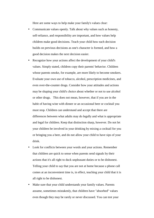Here are some ways to help make your family's values clear:

- Communicate values openly. Talk about why values such as honesty, self-reliance, and responsibility are important, and how values help children make good decisions. Teach your child how each decision builds on previous decisions as one's character is formed, and how a good decision makes the next decision easier.
- Recognize how your actions affect the development of your child's values. Simply stated, children copy their parents' behavior. Children whose parents smoke, for example, are more likely to become smokers. Evaluate your own use of tobacco, alcohol, prescription medicines, and even over-the-counter drugs. Consider how your attitudes and actions may be shaping your child's choice about whether or not to use alcohol or other drugs. This does not mean, however, that if you are in the habit of having wine with dinner or an occasional beer or cocktail you must stop. Children can understand and accept that there are differences between what adults may do legally and what is appropriate and legal for children. Keep that distinction sharp, however. Do not let your children be involved in your drinking by mixing a cocktail for you or bringing you a beer, and do not allow your child to have sips of your drink.
- Look for conflicts between your words and your actions. Remember that children are quick to sense when parents send signals by their actions that it's all right to duck unpleasant duties or to be dishonest. Telling your child to say that you are not at home because a phone call comes at an inconvenient time is, in effect, teaching your child that it is all right to be dishonest.
- Make sure that your child understands your family values. Parents assume, sometimes mistakenly, that children have "absorbed" values even though they may be rarely or never discussed. You can test your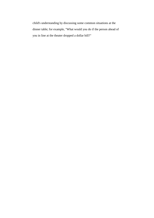child's understanding by discussing some common situations at the dinner table; for example, "What would you do if the person ahead of you in line at the theater dropped a dollar bill?"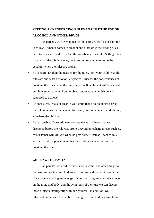# **SETTING AND ENFORCING RULES AGAINST THE USE OF ALCOHOL AND OTHER DRUGS**

As parents, we are responsible for setting rules for our children to follow. When it comes to alcohol and other drug use, strong rules need to be established to protect the well-being of a child. Setting rules is only half the job, however; we must be prepared to enforce the penalties when the rules are broken.

- Be specific. Explain the reasons for the rules. Tell your child what the rules are and what behavior is expected. Discuss the consequences of breaking the rules: what the punishment will be, how it will be carried out, how much time will be involved, and what the punishment is supposed to achieve.
- Be consistent. Make it clear to your child that a no-alcohol/no-druguse rule remains the same at all times-in your home, in a friend's home, anywhere the child is.
- Be reasonable. Don't add new consequences that have not been discussed before the rule was broken. Avoid unrealistic threats such as, "Your father will kill you when he gets home." Instead, react calmly and carry out the punishment that the child expects to receive for breaking the rule.

#### **GETTING THE FACTS**

As parents, we need to know about alcohol and other drugs so that we can provide our children with current and correct information. If we have a working knowledge of common drugs--know their effects on the mind and body, and the symptoms of their use we can discuss these subjects intelligently with our children. In addition, well informed parents are better able to recognize if a child has symptoms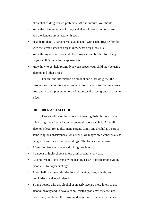of alcohol or drug-related problems: At a minimum, you should:

- know the different types of drugs and alcohol most commonly used and the dangers associated with each;
- be able to identify paraphernalia associated with each drug; be familiar with the street names of drugs; know what drugs look like;
- know the signs of alcohol and other drug use and be alert for changes in your child's behavior or appearance;
- know how to get help promptly if you suspect your child may be using alcohol and other drugs.

For current information on alcohol and other drug use, the resource section in this guide can help direct parents to clearinghouses, drug and alcohol prevention organizations, and parent groups--to name a few.

#### **CHILDREN AND ALCOHOL**

Parents who are clear about not wanting their children to use illicit drugs may find it harder to be tough about alcohol. After all, alcohol is legal for adults, many parents drink, and alcohol is a part of some religious observances. As a result, we may view alcohol as a less dangerous substance than other drugs. The facts say otherwise:

- 4.6 million teenagers have a drinking problem.
- 4 percent of high school seniors drink alcohol every day.
- Alcohol-related accidents are the leading cause of death among young people 15 to 24 years of age.
- About half of all youthful deaths in drowning, fires, suicide, and homicides are alcohol related.
- Young people who use alcohol at an early age are more likely to use alcohol heavily and to have alcohol-related problems; they are also more likely to abuse other drugs and to get into trouble with the law.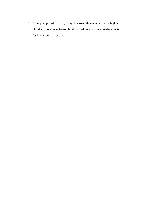• Young people whose body weight is lower than adults reach a higher blood alcohol concentration level than adults and show greater effects for longer periods of time.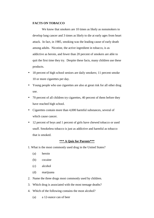#### **FACTS ON TOBACCO**

We know that smokers are 10 times as likely as nonsmokers to develop lung cancer and 3 times as likely to die at early ages from heart attack. In fact, in 1985, smoking was the leading cause of early death among adults. Nicotine, the active ingredient in tobacco, is as addictive as heroin, and fewer than 20 percent of smokers are able to quit the first time they try. Despite these facts, many children use these products.

- 18 percent of high school seniors are daily smokers; 11 percent smoke 10 or more cigarettes per day.
- Young people who use cigarettes are also at great risk for all other drug use.
- 70 percent of all children try cigarettes, 40 percent of them before they have reached high school.
- Cigarettes contain more than 4,000 harmful substances, several of which cause cancer.
- 12 percent of boys and 1 percent of girls have chewed tobacco or used snuff. Smokeless tobacco is just as addictive and harmful as tobacco that is smoked.

#### **\*\*\* A Quiz for Parents\*\*\***

- 1. What is the most commonly used drug in the United States?
	- (a) heroin
	- (b) cocaine
	- (c) alcohol
	- (d) marijuana
- 2. Name the three drugs most commonly used by children.
- 3. Which drug is associated with the most teenage deaths?
- 4. Which of the following contains the most alcohol?
	- (a) a 12-ounce can of beer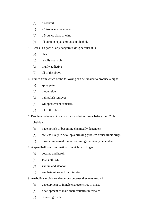- (b) a cocktail
- (c) a 12-ounce wine cooler
- (d) a 5-ounce glass of wine
- (e) all contain equal amounts of alcohol.
- 5. Crack is a particularly dangerous drug because it is
	- (a) cheap
	- (b) readily available
	- (c) highly addictive
	- (d) all of the above
- 6. Fumes from which of the following can be inhaled to produce a high:
	- (a) spray paint
	- (b) model glue
	- (c) nail polish remover
	- (d) whipped cream canisters
	- (e) all of the above
- 7. People who have not used alcohol and other drugs before their 20th

birthday:

- (a) have no risk of becoming chemically dependent
- (b) are less likely to develop a drinking problem or use illicit drugs
- (c) have an increased risk of becoming chemically dependent.
- 8. A speedball is a combination of which two drugs?
	- (a) cocaine and heroin
	- (b) PCP and LSD
	- (c) valium and alcohol
	- (d) amphetamines and barbiturates
- 9. Anabolic steroids are dangerous because they may result in:
	- (a) development of female characteristics in males
	- (b) development of male characteristics in females
	- (c) Stunted growth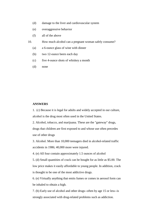- (d) damage to the liver and cardiovascular system
- (e) overaggressive behavior
- (f) all of the above
- 10. How much alcohol can a pregnant woman safely consume?
	- (a) a 6-ounce glass of wine with dinner
	- (b) two 12-ounce beers each day
	- (c) five 4-ounce shots of whiskey a month
	- (d) none

#### **ANSWERS**

1. (c) Because it is legal for adults and widely accepted in our culture, alcohol is the drug most often used in the United States.

2. Alcohol, tobacco, and marijuana. These are the "gateway" drugs, drugs that children are first exposed to and whose use often precedes use of other drugs

3. Alcohol. More than 10,000 teenagers died in alcohol-related traffic accidents in 1986; 40,000 more were injured.

4. (e) All four contain approximately 1.5 ounces of alcohol

5. (d) Small quantities of crack can be bought for as little as \$5.00. The low price makes it easily affordable to young people. In addition, crack is thought to be one of the most addictive drugs.

6. (e) Virtually anything that emits fumes or comes in aerosol form can be inhaled to obtain a high.

7. (b) Early use of alcohol and other drugs--often by age 15 or less--is strongly associated with drug-related problems such as addiction.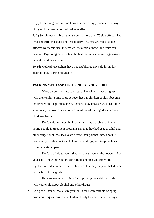8. (a) Combining cocaine and heroin is increasingly popular as a way of trying to lessen or control bad side effects.

9. (f) Steroid users subject themselves to more than 70 side effects. The liver and cardiovascular and reproductive systems are most seriously affected by steroid use. In females, irreversible masculine traits can develop. Psychological effects in both sexes can cause very aggressive behavior and depression.

10. (d) Medical researchers have not established any safe limits for alcohol intake during pregnancy.

#### **TALKING WITH AND LISTENING TO YOUR CHILD**

Many parents hesitate to discuss alcohol and other drug use with their child. Some of us believe that our children couldn't become involved with illegal substances. Others delay because we don't know what to say or how to say it, or we are afraid of putting ideas into our children's heads.

Don't wait until you think your child has a problem. Many young people in treatment programs say that they had used alcohol and other drugs for at least two years before their parents knew about it. Begin early to talk about alcohol and other drugs, and keep the lines of communication open.

Don't be afraid to admit that you don't have all the answers. Let your child know that you are concerned, and that you can work together to find answers. Some references that may help are listed later in this text of this guide.

Here are some basic hints for improving your ability to talk with your child about alcohol and other drugs:

• Be a good listener. Make sure your child feels comfortable bringing problems or questions to you. Listen closely to what your child says.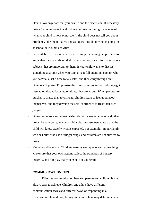Don't allow anger at what you hear to end the discussion. If necessary, take a 5 minute break to calm down before continuing. Take note of what your child is not saying, too. If the child does not tell you about problems, take the initiative and ask questions about what is going on at school or in other activities.

- Be available to discuss even sensitive subjects. Young people need to know that they can rely on their parents for accurate information about subjects that are important to them. If your child wants to discuss something at a time when you can't give it full attention, explain why you can't talk, set a time to talk later, and then carry through on it!
- Give lots of praise. Emphasize the things your youngster is doing right instead of always focusing on things that are wrong. When parents are quicker to praise than to criticize, children learn to feel good about themselves, and they develop the self- confidence to trust their own judgment.
- Give clear messages. When talking about the use of alcohol and other drugs, be sure you give your child a clear no-use message, so that the child will know exactly what is expected. For example, "In our family we don't allow the use of illegal drugs, and children are not allowed to drink."
- Model good behavior. Children learn by example as well as teaching. Make sure that your own actions reflect the standards of honesty, integrity, and fair play that you expect of your child.

#### **COMMUNICATION TIPS**

Effective communication between parents and children is not always easy to achieve. Children and adults have different communication styles and different ways of responding in a conversation. In addition, timing and atmosphere may determine how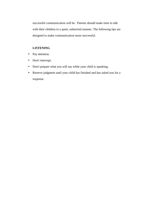successful communication will be. Parents should make time to talk with their children in a quiet, unhurried manner. The following tips are designed to make communication more successful.

#### **LISTENING**

- Pay attention.
- Don't interrupt.
- Don't prepare what you will say while your child is speaking.
- Reserve judgment until your child has finished and has asked you for a response.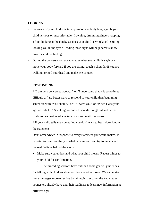#### **LOOKING**

- Be aware of your child's facial expression and body language. Is your child nervous or uncomfortable--frowning, drumming fingers, tapping a foot, looking at the clock? Or does your child seem relaxed--smiling, looking you in the eyes? Reading these signs will help parents know how the child is feeling.
- During the conversation, acknowledge what your child is saying- move your body forward if you are sitting, touch a shoulder if you are walking, or nod your head and make eye contact.

#### **RESPONDING**

\* "I am very concerned about...." or "I understand that it is sometimes difficult ...." are better ways to respond to your child than beginning sentences with "You should," or "If I were you," or "When I was your age we didn't...." Speaking for oneself sounds thoughtful and is less likely to be considered a lecture or an automatic response.

\* If your child tells you something you don't want to hear, don't ignore the statement

Don't offer advice in response to every statement your child makes. It is better to listen carefully to what is being said and try to understand the real feelings behind the words.

• Make sure you understand what your child means. Repeat things to your child for confirmation.

The preceding sections have outlined some general guidelines for talking with children about alcohol and other drugs. We can make these messages more effective by taking into account the knowledge youngsters already have and their readiness to learn new information at different ages.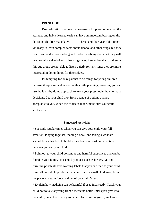#### **PRESCHOOLERS**

Drug education may seem unnecessary for preschoolers, but the attitudes and habits learned early can have an important bearing on the decisions children make later. Three- and four-year-olds are not yet ready to learn complex facts about alcohol and other drugs, but they can learn the decision-making and problem-solving skills that they will need to refuse alcohol and other drugs later. Remember that children in this age group are not able to listen quietly for very long; they are more interested in doing things for themselves.

It's tempting for busy parents to do things for young children because it's quicker and easier. With a little planning, however, you can use the learn-by-doing approach to teach your preschooler how to make decisions. Let your child pick from a range of options that are acceptable to you. When the choice is made, make sure your child sticks with it.

#### **Suggested Activities**

\* Set aside regular times when you can give your child your full attention. Playing together, reading a book, and taking a walk are special times that help to build strong bonds of trust and affection between you and your child.

\* Point out to your child poisonous and harmful substances that can be found in your home. Household products such as bleach, lye, and furniture polish all have warning labels that you can read to your child. Keep all household products that could harm a small child away from the place you store foods and out of your child's reach.

\* Explain how medicine can be harmful if used incorrectly. Teach your child not to take anything from a medicine bottle unless you give it to the child yourself or specify someone else who can give it, such as a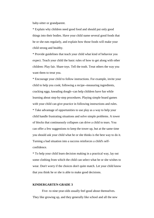baby-sitter or grandparent.

\* Explain why children need good food and should put only good things into their bodies. Have your child name several good foods that he or she eats regularly, and explain how those foods will make your child strong and healthy.

\* Provide guidelines that teach your child what kind of behavior you expect. Teach your child the basic rules of how to get along with other children: Play fair. Share toys. Tell the truth. Treat others the way you want them to treat you.

\* Encourage your child to follow instructions. For example, invite your child to help you cook; following a recipe--measuring ingredients, cracking eggs, kneading dough--can help children have fun while learning about step-by-step procedures. Playing simple board games with your child can give practice in following instructions and rules. \* Take advantage of opportunities to use play as a way to help your child handle frustrating situations and solve simple problems. A tower of blocks that continuously collapses can drive a child to tears. You can offer a few suggestions to keep the tower up, but at the same time you should ask your child what he or she thinks is the best way to do it. Turning a bad situation into a success reinforces a child's selfconfidence.

\* To help your child learn decision making in a practical way, lay out some clothing from which the child can select what he or she wishes to wear. Don't worry if the choices don't quite match. Let your child know that you think he or she is able to make good decisions.

#### **KINDERGARTEN-GRADE 3**

Five- to nine-year-olds usually feel good about themselves. They like growing up, and they generally like school and all the new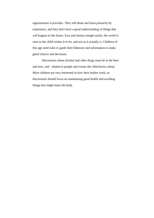opportunities it provides. They still think and learn primarily by experience, and they don't have a good understanding of things that will happen in the future. Fact and fantasy mingle easily; the world is seen as the child wishes it to be, and not as it actually is. Children of this age need rules to guide their behavior and information to make good choices and decisions.

Discussions about alcohol and other drugs must be in the here and now, and `related to people and events the child knows about. Most children are very interested in how their bodies work, so discussions should focus on maintaining good health and avoiding things that might harm the body.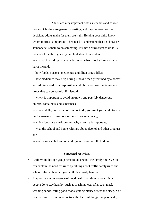Adults are very important both as teachers and as role models. Children are generally trusting, and they believe that the decisions adults make for them are right. Helping your child know whom to trust is important. They need to understand that just because someone tells them to do something, it is not always right to do it By the end of the third grade, your child should understand:

-- what an illicit drug is, why it is illegal, what it looks like, and what harm it can do:

-- how foods, poisons, medicines, and illicit drugs differ;

-- how medicines may help during illness, when prescribed by a doctor and administered by a responsible adult, but also how medicines are drugs that can be harmful if misused:

-- why it is important to avoid unknown and possibly dangerous objects, containers, and substances;

-- which adults, both at school and outside, you want your child to rely on for answers to questions or help in an emergency;

-- which foods are nutritious and why exercise is important;

-- what the school and home rules are about alcohol and other drug use; and

-- how using alcohol and other drugs is illegal for all children.

#### **Suggested Activities**

- Children in this age group need to understand the family's rules. You can explain the need for rules by talking about traffic safety rules and school rules with which your child is already familiar.
- Emphasize the importance of good health by talking about things people do to stay healthy, such as brushing teeth after each meal, washing hands, eating good foods, getting plenty of rest and sleep. You can use this discussion to contrast the harmful things that people do,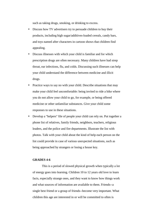such as taking drugs, smoking, or drinking to excess.

- Discuss how TV advertisers try to persuade children to buy their products, including high sugar/additives-loaded cereals, candy bars, and toys named after characters in cartoon shows that children find appealing.
- Discuss illnesses with which your child is familiar and for which prescription drugs are often necessary. Many children have had strep throat, ear infections, flu, and colds. Discussing such illnesses can help your child understand the difference between medicine and illicit drugs.
- Practice ways to say no with your child. Describe situations that may make your child feel uncomfortable: being invited to ride a bike where you do not allow your child to go, for example, or being offered medicine or other unfamiliar substances. Give your child some responses to use in these situations.
- Develop a "helpers" file of people your child can rely on. Put together a phone list of relatives, family friends, neighbors, teachers, religious leaders, and the police and fire departments. Illustrate the list with photos. Talk with your child about the kind of help each person on the list could provide in case of various unexpected situations, such as being approached by strangers or losing a house key.

#### **GRADES 4-6**

This is a period of slowed physical growth when typically a lot of energy goes into learning. Children 10 to 12 years old love to learn facts, especially strange ones, and they want to know how things work and what sources of information are available to them. Friends--a single best friend or a group of friends--become very important. What children this age are interested in or will be committed to often is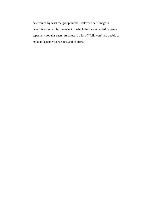determined by what the group thinks. Children's self-image is determined in part by the extent to which they are accepted by peers, especially popular peers. As a result, a lot of "followers" are unable to make independent decisions and choices.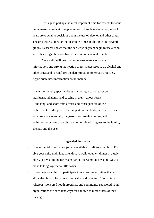This age is perhaps the most important time for parents to focus on increased efforts at drug prevention. These late elementary school years are crucial to decisions about the use of alcohol and other drugs. The greatest risk for starting to smoke comes in the sixth and seventh grades. Research shows that the earlier youngsters begin to use alcohol and other drugs, the more likely they are to have real trouble.

Your child will need a clear no-use message, factual information, and strong motivation to resist pressures to try alcohol and other drugs and to reinforce the determination to remain drug free. Appropriate new information could include:

-- ways to identify specific drugs, including alcohol, tobacco, marijuana, inhalants, and cocaine in their various forms; -- the long- and short-term effects and consequences of use; -- the effects of drugs on different parts of the body, and the reasons why drugs are especially dangerous for growing bodies; and -- the consequences of alcohol and other illegal drug use to the family, society, and the user.

#### **Suggested Activities**

- Create special times when you are available to talk to your child. Try to give your child undivided attention. A walk together, dinner in a quiet place, or a visit to the ice cream parlor after a movie are some ways to make talking together a little easier.
- Encourage your child to participate in wholesome activities that will allow the child to form new friendships and have fun. Sports, Scouts, religious-sponsored youth programs, and community-sponsored youth organizations are excellent ways for children to meet others of their own age.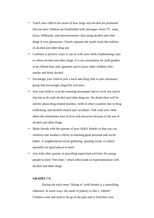- Teach your child to be aware of how drugs and alcohol are promoted. Discuss how children are bombarded with messages--from TV, song lyrics, billboards, and advertisements--that using alcohol and other drugs is very glamorous. Clearly separate the myths from the realities of alcohol and other drug use.
- Continue to practice ways to say no with your child, emphasizing ways to refuse alcohol and other drugs. It is not uncommon for sixth graders to be offered beer and cigarettes and to know other children who smoke and drink alcohol.
- Encourage your child to join a local anti-drug club or peer assistance group that encourages drug-free activities.
- Ask your child to scan the morning newspaper and to circle any article that has to do with alcohol and other drug use. No doubt there will be articles about drug-related murders, strife in other countries due to drug trafficking, and alcohol-related auto accidents. Talk with your child about the tremendous loss of lives and resources because of the use of alcohol and other drugs.
- Make friends with the parents of your child's friends so that you can reinforce one another's efforts in teaching good personal and social habits. A neighborhood social gathering, sporting event, or school assembly are good places to meet.
- Join with other parents in providing supervised activities for young people to limit "free time," which often leads to experimentation with alcohol and other drugs.

#### **GRADES 7-9**

During the early teens "fitting in" with friends is a controlling influence. In some ways, the onset of puberty is like a "rebirth." Children want and need to let go of the past and to find their own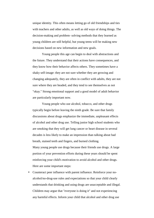unique identity. This often means letting go of old friendships and ties with teachers and other adults, as well as old ways of doing things. The decision-making and problem- solving methods that they learned as young children are still helpful, but young teens will be making new decisions based on new information and new goals.

Young people this age can begin to deal with abstractions and the future. They understand that their actions have consequences, and they know how their behavior affects others. They sometimes have a shaky self-image: they are not sure whether they are growing and changing adequately, they are often in conflict with adults, they are not sure where they are headed, and they tend to see themselves as not "okay." Strong emotional support and a good model of adult behavior are particularly important now.

Young people who use alcohol, tobacco, and other drugs typically begin before leaving the ninth grade. Be sure that family discussions about drugs emphasize the immediate, unpleasant effects of alcohol and other drug use. Telling junior high school students who are smoking that they will get lung cancer or heart disease in several decades is less likely to make an impression than talking about bad breath, stained teeth and fingers, and burned clothing. Many young people use drugs because their friends use drugs. A large portion of your prevention efforts during these years should be spent reinforcing your child's motivation to avoid alcohol and other drugs. Here are some important steps:

• Counteract peer influence with parent influence. Reinforce your noalcohol/no-drug-use rules and expectations so that your child clearly understands that drinking and using drugs are unacceptable and illegal. Children may argue that "everyone is doing it" and not experiencing any harmful effects. Inform your child that alcohol and other drug use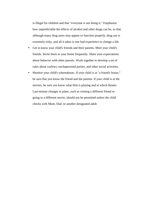is illegal for children and that "everyone is not doing it." Emphasize how unpredictable the effects of alcohol and other drugs can be, so that although many drug users may appear to function properly, drug use is extremely risky, and all it takes is one bad experience to change a life.

- Get to know your child's friends and their parents. Meet your child's friends. Invite them to your home frequently. Share your expectations about behavior with other parents. Work together to develop a set of rules about curfews, unchaperoned parties, and other social activities.
- Monitor your child's whereabouts. If your child is at "a friend's house," be sure that you know the friend and the parents. If your child is at the movies, be sure you know what film is playing and at which theater. Last-minute changes in plans, such as visiting a different friend or going to a different movie, should not be permitted unless the child checks with Mom, Dad, or another designated adult.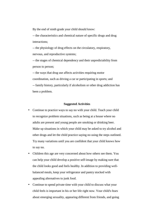By the end of ninth grade your child should know:

-- the characteristics and chemical nature of specific drugs and drug interactions;

-- the physiology of drug effects on the circulatory, respiratory, nervous, and reproductive systems;

-- the stages of chemical dependency and their unpredictability from person to person;

-- the ways that drug use affects activities requiring motor coordination, such as driving a car or participating in sports; and -- family history, particularly if alcoholism or other drug addiction has been a problem.

#### **Suggested Activities**

- Continue to practice ways to say no with your child. Teach your child to recognize problem situations, such as being at a house where no adults are present and young people are smoking or drinking beer. Make up situations in which your child may be asked to try alcohol and other drugs and let the child practice saying no using the steps outlined. Try many variations until you are confident that your child knows how to say no.
- Children this age are very concerned about how others see them. You can help your child develop a positive self-image by making sure that the child looks good and feels healthy. In addition to providing wellbalanced meals, keep your refrigerator and pantry stocked with appealing alternatives to junk food.
- Continue to spend private time with your child to discuss what your child feels is important in his or her life right now. Your child's fears about emerging sexuality, appearing different from friends, and going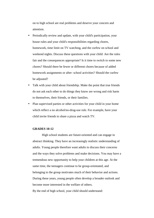on to high school are real problems and deserve your concern and attention.

- Periodically review and update, with your child's participation, your house rules and your child's responsibilities regarding chores, homework, time limit on TV watching, and the curfew on school and weekend nights. Discuss these questions with your child: Are the rules fair and the consequences appropriate? Is it time to switch to some new chores? Should there be fewer or different chores because of added homework assignments or after- school activities? Should the curfew be adjusted?
- Talk with your child about friendship. Make the point that true friends do not ask each other to do things they know are wrong and risk harm to themselves, their friends, or their families.
- Plan supervised parties or other activities for your child in your home which reflect a no alcohol/no-drug-use rule. For example, have your child invite friends to share a pizza and watch TV.

#### **GRADES 10-12**

High school students are future-oriented and can engage in abstract thinking. They have an increasingly realistic understanding of adults. Young people therefore want adults to discuss their concerns and the ways they solve problems and make decisions. You may have a tremendous new opportunity to help your children at this age. At the same time, the teenagers continue to be group-orientated, and belonging to the group motivates much of their behavior and actions. During these years, young people often develop a broader outlook and become more interested in the welfare of others. By the end of high school, your child should understand: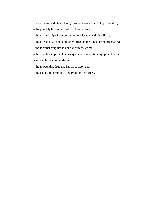- -- both the immediate and long-term physical effects of specific drugs;
- -- the possibly fatal effects of combining drugs;
- -- the relationship of drug use to other diseases and disabilities;
- -- the effects of alcohol and other drugs on the fetus during pregnancy;
- -- the fact that drug use is not a victimless crime;
- -- the effects and possible consequences of operating equipment while using alcohol and other drugs;
- -- the impact that drug use has on society; and
- -- the extent of community intervention resources.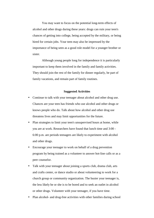You may want to focus on the potential long-term effects of alcohol and other drugs during these years: drugs can ruin your teen's chances of getting into college, being accepted by the military, or being hired for certain jobs. Your teen may also be impressed by the importance of being seen as a good role model for a younger brother or sister.

Although young people long for independence it is particularly important to keep them involved in the family and family activities. They should join the rest of the family for dinner regularly, be part of family vacations, and remain part of family routines.

#### **Suggested Activities**

- Continue to talk with your teenager about alcohol and other drug use. Chances are your teen has friends who use alcohol and other drugs or knows people who do. Talk about how alcohol and other drug use threatens lives and may limit opportunities for the future.
- Plan strategies to limit your teen's unsupervised hours at home, while you are at work. Researchers have found that lunch time and 3:00 - 6:00 p.m. are periods teenagers are likely to experiment with alcohol and other drugs.
- Encourage your teenager to work on behalf of a drug prevention program by being trained as a volunteer to answer hot-line calls or as a peer counselor.
- Talk with your teenager about joining a sports club, drama club, arts and crafts center, or dance studio or about volunteering to work for a church group or community organization. The busier your teenager is, the less likely he or she is to be bored and to seek an outlet in alcohol or other drugs. Volunteer with your teenager, if you have time.
- Plan alcohol- and drug-free activities with other families during school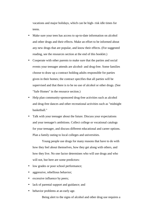vacations and major holidays, which can be high- risk idle times for teens.

- Make sure your teen has access to up-to-date information on alcohol and other drugs and their effects. Make an effort to be informed about any new drugs that are popular, and know their effects. (For suggested reading, see the resources section at the end of this booklet.)
- Cooperate with other parents to make sure that the parties and social events your teenager attends are alcohol- and drug-free. Some families choose to draw up a contract holding adults responsible for parties given in their homes; the contract specifies that all parties will be supervised and that there is to be no use of alcohol or other drugs. (See "Safe Homes" in the resource section.)
- Help plan community-sponsored drug-free activities such as alcohol and drug-free dances and other recreational activities such as "midnight basketball."
- Talk with your teenager about the future. Discuss your expectations and your teenager's ambitions. Collect college or vocational catalogs for your teenager, and discuss different educational and career options. Plan a family outing to local colleges and universities.

Young people use drugs for many reasons that have to do with how they feel about themselves, how they get along with others, and how they live. No one factor determines who will use drugs and who will not, but here are some predictors:

- low grades or poor school performance;
- aggressive, rebellious behavior;
- excessive influence by peers;
- lack of parental support and guidance; and
- behavior problems at an early age.

Being alert to the signs of alcohol and other drug use requires a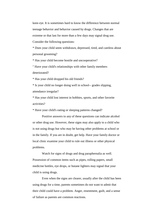keen eye. It is sometimes hard to know the difference between normal teenage behavior and behavior caused by drugs. Changes that are extreme or that last for more than a few days may signal drug use. Consider the following questions:

\* Does your child seem withdrawn, depressed, tired, and careless about personal grooming?

\* Has your child become hostile and uncooperative?

" Have your child's relationships with other family members deteriorated?

\* Has your child dropped his old friends?

\* Is your child no longer doing well in school-- grades slipping, attendance irregular?

\* Has your child lost interest in hobbies, sports, and other favorite activities?

\* Have your child's eating or sleeping patterns changed?

Positive answers to any of these questions can indicate alcohol or other drug use. However, these signs may also apply to a child who is not using drugs but who may be having other problems at school or in the family. If you are in doubt, get help. Have your family doctor or local clinic examine your child to rule out illness or other physical problems.

Watch for signs of drugs and drug paraphernalia as well. Possession of common items such as pipes, rolling papers, small medicine bottles, eye drops, or butane lighters may signal that your child is using drugs.

Even when the signs are clearer, usually after the child has been using drugs for a time, parents sometimes do not want to admit that their child could have a problem. Anger, resentment, guilt, and a sense of failure as parents are common reactions.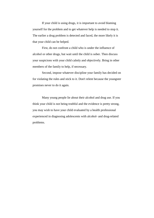If your child is using drugs, it is important to avoid blaming yourself for the problem and to get whatever help is needed to stop it. The earlier a drug problem is detected and faced, the more likely it is that your child can be helped.

First, do not confront a child who is under the influence of alcohol or other drugs, but wait until the child is sober. Then discuss your suspicions with your child calmly and objectively. Bring in other members of the family to help, if necessary.

Second, impose whatever discipline your family has decided on for violating the rules and stick to it. Don't relent because the youngster promises never to do it again.

Many young people lie about their alcohol and drug use. If you think your child is not being truthful and the evidence is pretty strong, you may wish to have your child evaluated by a health professional experienced in diagnosing adolescents with alcohol- and drug-related problems.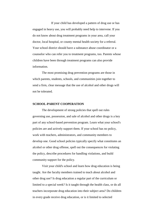If your child has developed a pattern of drug use or has engaged in heavy use, you will probably need help to intervene. If you do not know about drug treatment programs in your area, call your doctor, local hospital, or county mental health society for a referral. Your school district should have a substance abuse coordinator or a counselor who can refer you to treatment programs, too. Parents whose children have been through treatment programs can also provide information.

The most promising drug prevention programs are those in which parents, students, schools, and communities join together to send a firm, clear message that the use of alcohol and other drugs will not be tolerated.

#### **SCHOOL-PARENT COOPERATION**

The development of strong policies that spell out rules governing use, possession, and sale of alcohol and other drugs is a key part of any school-based prevention program. Learn what your school's policies are and actively support them. If your school has no policy, work with teachers, administrators, and community members to develop one. Good school policies typically specify what constitutes an alcohol or other drug offense, spell out the consequences for violating the policy, describe procedures for handling violations, and build community support for the policy.

Visit your child's school and learn how drug education is being taught. Are the faculty members trained to teach about alcohol and other drug use? Is drug education a regular part of the curriculum or limited to a special week? Is it taught through the health class, or do all teachers incorporate drug education into their subject area? Do children in every grade receive drug education, or is it limited to selected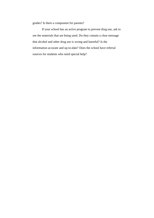grades? Is there a component for parents?

If your school has an active program to prevent drug use, ask to see the materials that are being used. Do they contain a clear message that alcohol and other drug use is wrong and harmful? Is the information accurate and up-to-date? Does the school have referral sources for students who need special help?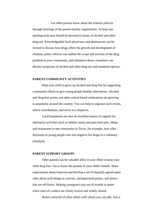Let other parents know about the school's policies through meetings of the parent-teacher organization. At least one meeting each year should be devoted to issues of alcohol and other drug use. Knowledgeable local physicians and pharmacists can be invited to discuss how drugs affect the growth and development of children, police officers can outline the scope and severity of the drug problem in your community, and substance abuse counselors can discuss symptoms of alcohol and other drug use and treatment options.

#### **PARENT-COMMUNITY ACTIVITIES**

Help your child to grow up alcohol and drug free by supporting community efforts to give young people healthy alternatives. Alcohol and drug-free proms and other school-based celebrations are growing in popularity around the country. You can help to organize such events, solicit contributions, and serve as a chaperon.

Local businesses are also an excellent source of support for alternative activities such as athletic teams and part-time jobs. Shops and restaurants in one community in Texas, for example, now offer discounts to young people who test negative for drugs in a voluntary urinalysis.

#### **PARENT SUPPORT GROUPS**

Other parents can be valuable allies in your effort to keep your child drug free. Get to know the parents of your child's friends. Share expectations about behavior and develop a set of mutually agreed upon rules about such things as curfews, unchaperoned parties, and places that are off-limits. Helping youngsters stay out of trouble is easier when rules of conduct are clearly known and widely shared.

Build a network of other adults with whom you can talk. Join a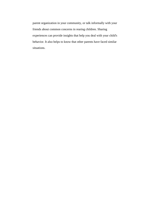parent organization in your community, or talk informally with your friends about common concerns in rearing children. Sharing experiences can provide insights that help you deal with your child's behavior. It also helps to know that other parents have faced similar situations.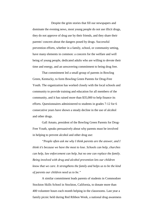Despite the grim stories that fill our newspapers and dominate the evening news, most young people do not use illicit drugs, they do not approve of drug use by their friends, and they share their parents' concern about the dangers posed by drugs. Successful prevention efforts, whether in a family, school, or community setting, have many elements in common: a concern for the welfare and well being of young people, dedicated adults who are willing to devote their time and energy, and an unwavering commitment to being drug free.

That commitment led a small group of parents in Bowling Green, Kentucky, to form Bowling Green Parents for Drug-Free Youth. The organization has worked closely with the local schools and community to provide training and education for all members of the community, and it has raised more than \$35,000 to help finance its efforts. Questionnaires administered to students in grades 7-12 for 6 consecutive years have shown a steady decline in the use of alcohol and other drugs.

Gall Amato, president of the Bowling Green Parents for Drug-Free Youth, speaks persuasively about why parents must be involved in helping to prevent alcohol and other drug use:

*"People often ask me why I think parents are the answer, and I think it's because we have the most to lose. Schools can help, churches can help, law enforcement can help, but no one can replace the family. Being involved with drug and alcohol prevention lets our children know that we care. It strengthens the family and helps us to be the kind of parents our children need us to be."*

A similar commitment leads parents of students in Commodore Stockton Skills School in Stockton, California, to donate more than 400 volunteer hours each month helping in the classrooms. Last year a family picnic held during Red Ribbon Week, a national drug awareness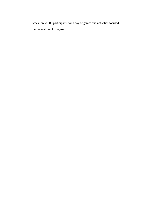week, drew 500 participants for a day of games and activities focused on prevention of drug use.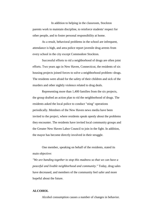In addition to helping in the classroom, Stockton parents work to maintain discipline, to reinforce students' respect for other people, and to foster personal responsibility at home.

As a result, behavioral problems in the school are infrequent, attendance is high, and area police report juvenile drug arrests from every school in the city except Commodore Stockton.

Successful efforts to rid a neighborhood of drugs are often joint efforts. Two years ago in New Haven, Connecticut, the residents of six housing projects joined forces to solve a neighborhood problem--drugs. The residents were afraid for the safety of their children and sick of the murders and other nightly violence related to drug deals.

Representing more than 1,400 families from the six projects, the group drafted an action plan to rid the neighborhood of drugs. The residents asked the local police to conduct "sting" operations periodically. Members of the New Haven news media have been invited to the project, where residents speak openly about the problems they encounter. The residents have invited local community groups and the Greater New Haven Labor Council to join in the fight. In addition, the mayor has become directly involved in their struggle.

One member, speaking on behalf of the residents, stated its main objective:

*"We are banding together to stop this madness so that we can have a peaceful and livable neighborhood and community."* Today, drug sales have decreased, and members of the community feel safer and more hopeful about the future.

#### **ALCOHOL**

Alcohol consumption causes a number of changes in behavior.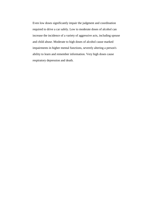Even low doses significantly impair the judgment and coordination required to drive a car safely. Low to moderate doses of alcohol can increase the incidence of a variety of aggressive acts, including spouse and child abuse. Moderate to high doses of alcohol cause marked impairments in higher mental functions, severely altering a person's ability to learn and remember information. Very high doses cause respiratory depression and death.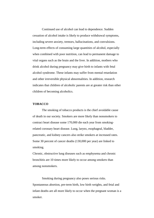Continued use of alcohol can lead to dependence. Sudden cessation of alcohol intake is likely to produce withdrawal symptoms, including severe anxiety, tremors, hallucinations, and convulsions. Long-term effects of consuming large quantities of alcohol, especially when combined with poor nutrition, can lead to permanent damage to vital organs such as the brain and the liver. In addition, mothers who drink alcohol during pregnancy may give birth to infants with fetal alcohol syndrome. These infants may suffer from mental retardation and other irreversible physical abnormalities. In addition, research indicates that children of alcoholic parents are at greater risk than other children of becoming alcoholics.

# **TOBACCO**

The smoking of tobacco products is the chief avoidable cause of death in our society. Smokers are more likely than nonsmokers to contract heart disease some 170,000 die each year from smokingrelated coronary heart disease. Lung, larynx, esophageal, bladder, pancreatic, and kidney cancers also strike smokers at increased rates. Some 30 percent of cancer deaths (130,000 per year) are linked to smoking.

Chronic, obstructive lung diseases such as emphysema and chronic bronchitis are 10 times more likely to occur among smokers than among nonsmokers.

Smoking during pregnancy also poses serious risks. Spontaneous abortion, pre-term birth, low birth weights, and fetal and infant deaths are all more likely to occur when the pregnant woman is a smoker.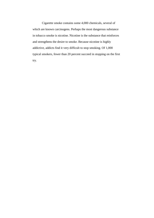Cigarette smoke contains some 4,000 chemicals, several of which are known carcinogens. Perhaps the most dangerous substance in tobacco smoke is nicotine. Nicotine is the substance that reinforces and strengthens the desire to smoke. Because nicotine is highly addictive, addicts find it very difficult to stop smoking. Of 1,000 typical smokers, fewer than 20 percent succeed in stopping on the first try.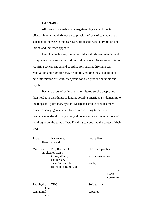# **CANNABIS**

All forms of cannabis have negative physical and mental effects. Several regularly observed physical effects of cannabis are a substantial increase in the heart rate, bloodshot eyes, a dry mouth and throat, and increased appetite.

Use of cannabis may impair or reduce short-term memory and comprehension, alter sense of time, and reduce ability to perform tasks requiring concentration and coordination, such as driving a car. Motivation and cognition may be altered, making the acquisition of new information difficult. Marijuana can also produce paranoia and psychosis.

Because users often inhale the unfiltered smoke deeply and then hold it in their lungs as long as possible, marijuana is damaging to the lungs and pulmonary system. Marijuana smoke contains more cancer-causing agents than tobacco smoke. Long-term users of cannabis may develop psychological dependence and require more of the drug to get the same effect. The drug can become the center of their lives.

| Type:     | Nickname:            | Looks like:        |
|-----------|----------------------|--------------------|
|           | How it is used:      |                    |
| Marijuana | Pot, Reefer, Dope,   | like dried parsley |
|           | smoked or Ganja      |                    |
|           | Grass, Weed,         | with stems and/or  |
|           | eaten Mary           |                    |
|           | Jane, Sinsemilla,    | seeds;             |
|           | rolled into Bum Bud, |                    |
|           |                      | <sub>or</sub>      |
|           |                      | Dank               |
|           |                      | cigarettes         |
|           |                      |                    |

Tetrahydro- THC Soft gelatin Taken cannabinol capsules orally

or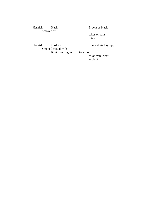Hashish Hash Brown or black Smoked or

cakes or balls eaten

Hashish Hash Oil Concentrated syrupy Smoked mixed with liquid varying in tobacco

color from clear to black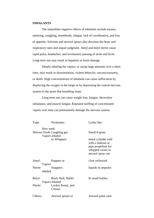# **INHALANTS**

The immediate negative effects of inhalants include nausea, sneezing, coughing, nosebleeds, fatigue, lack of coordination, and loss of appetite. Solvents and aerosol sprays also decrease the heart and respiratory rates and impair judgment. Amyl and butyl nitrite cause rapid pulse, headaches, and involuntary passing of urine and feces. Long-term use may result in hepatitis or brain damage.

Deeply inhaling the vapors, or using large amounts over a short time, may result in disorientation, violent behavior, unconsciousness, or death. High concentrations of inhalants can cause suffocation by displacing the oxygen in the lungs or by depressing the central nervous system to the point that breathing stops.

Long-term use can cause weight loss, fatigue, electrolyte imbalance, and muscle fatigue. Repeated sniffing of concentrated vapors over time can permanently damage the nervous system.

| Type:   | Nickname:                                    | Looks like:                                                                                              |
|---------|----------------------------------------------|----------------------------------------------------------------------------------------------------------|
|         | How used:                                    |                                                                                                          |
|         | Nitrous Oxide Laughing gas<br>Vapors inhaled | Small 8-gram                                                                                             |
|         | or Whippets                                  | metal cylinder sold<br>with a balloon or<br>pipe propellant for<br>whipped cream in<br>aerosol spray can |
| Amyl-   | Poppers or                                   | clear yellowish                                                                                          |
|         | Vapors                                       |                                                                                                          |
| Nitrite | <b>Snappers</b>                              | liquids in ampules                                                                                       |
|         | inhaled                                      |                                                                                                          |
| Butyl-  | Rush, Bolt, Bullet<br>Vapors inhaled         | In small bottles                                                                                         |
| Nitrite | Locker Room, and<br>Climax                   |                                                                                                          |
| Chloro- | Aerosol sprays or                            | Aerosol paint cans                                                                                       |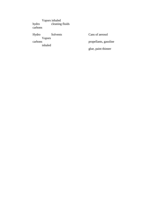Vapors inhaled cleaning fluids hydro<br>carbons

Hydro Solvents Cans of aerosol Vapors<br>carbons inhaled

propellants, gasoline glue, paint thinner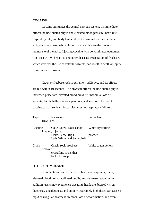#### **COCAINE**

Cocaine stimulates the central nervous system. Its immediate effects include dilated pupils and elevated blood pressure, heart rate, respiratory rate, and body temperature. Occasional use can cause a stuffy or runny nose, while chronic use can ulcerate the mucous membrane of the nose. Injecting cocaine with contaminated equipment can cause AIDS, hepatitis, and other diseases. Preparation of freebase, which involves the use of volatile solvents, can result in death or injury from fire or explosion.

Crack or freebase rock is extremely addictive, and its effects are felt within 10 seconds. The physical effects include dilated pupils, increased pulse rate, elevated blood pressure, insomnia, loss of appetite, tactile hallucinations, paranoia, and seizure. The use of cocaine can cause death by cardiac arrest or respiratory failure.

| Type:   | Nickname:                 | Looks like:          |
|---------|---------------------------|----------------------|
|         | How used:                 |                      |
| Cocaine | Coke, Snow, Nose candy    | White crystalline    |
|         | Inhaled, injected         |                      |
|         | Flake, Blow, Big C,       | powder               |
|         | Lady White, and Snowbirds |                      |
| Crack   | Crack, rock, freebase     | White to tan pellets |
|         | Smoked                    |                      |
|         | crystalline rocks that    |                      |
|         | look like soap            |                      |

# **OTHER STIMULANTS**

Stimulants can cause increased heart and respiratory rates, elevated blood pressure, dilated pupils, and decreased appetite. In addition, users may experience sweating, headache, blurred vision, dizziness, sleeplessness, and anxiety. Extremely high doses can cause a rapid or irregular heartbeat, tremors, loss of coordination, and even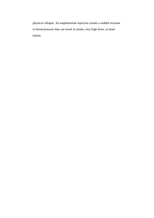physical collapse. An amphetamine injection creates a sudden increase in blood pressure that can result in stroke, very high fever, or heart failure.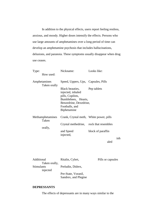In addition to the physical effects, users report feeling restless, anxious, and moody. Higher doses intensify the effects. Persons who use large amounts of amphetamines over a long period of time can develop an amphetamine psychosis that includes hallucinations, delusions, and paranoia. These symptoms usually disappear when drug use ceases.

| Type:<br>How used:           | Nickname:                                                                                                                                  | Looks like:       |     |
|------------------------------|--------------------------------------------------------------------------------------------------------------------------------------------|-------------------|-----|
| Amphetamines<br>Taken orally | Speed, Uppers, Ups, Capsules, Pills                                                                                                        |                   |     |
|                              | Black beauties,<br>injected, inhaled<br>pills, Copilots,<br>Bumblebees, Hearts,<br>Benzedrine, Dexedrine,<br>Footballs, and<br>Biphetamine | Pep tablets       |     |
| Methamphetamines<br>Taken    | Crank, Crystal meth, White power, pills                                                                                                    |                   |     |
| orally,                      | Crystal methedrine, rock that resembles                                                                                                    |                   |     |
|                              | and Speed<br>injected,                                                                                                                     | block of paraffin |     |
|                              |                                                                                                                                            | aled              | inh |

| Additional        | Ritalin, Cylert,     | Pills or capsules |
|-------------------|----------------------|-------------------|
| Taken orally,     |                      |                   |
| <b>Stimulants</b> | Preludin, Didrex,    |                   |
| injected          |                      |                   |
|                   | Pre-State, Voranil,  |                   |
|                   | Sandrex, and Plegine |                   |

# **DEPRESSANTS**

The effects of depressants are in many ways similar to the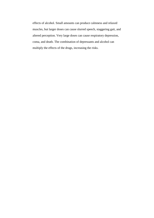effects of alcohol. Small amounts can produce calmness and relaxed muscles, but larger doses can cause slurred speech, staggering gait, and altered perception. Very large doses can cause respiratory depression, coma, and death. The combination of depressants and alcohol can multiply the effects of the drugs, increasing the risks.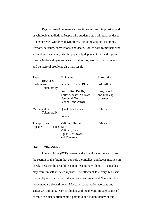Regular use of depressants over time can result in physical and psychological addiction. People who suddenly stop taking large doses can experience withdrawal symptoms, including anxiety, insomnia, tremors, delirium, convulsions, and death. Babies born to mothers who abuse depressants may also be physically dependent on the drugs and show withdrawal symptoms shortly after they are born. Birth defects and behavioral problems also may result.

| Type:                                            | Nickname:                                                                                   | Looks like:                              |
|--------------------------------------------------|---------------------------------------------------------------------------------------------|------------------------------------------|
| How used:                                        |                                                                                             |                                          |
| <b>Barbiturates</b><br>Taken orally              | Downers, Barbs, Blue                                                                        | red, yellow,                             |
|                                                  | Devils, Red Devils,<br>Yellow Jacket, Yellows,<br>Nembutal, Tuinals,<br>Seconal, and Amytal | blue, or red<br>and blue cap<br>capsules |
| Methaqualone<br>Taken orally                     | Quaaludes, Ludes,                                                                           | Tablets                                  |
|                                                  | Sopors                                                                                      |                                          |
| <b>Tranquilizers</b><br>Taken orally<br>capsules | Valium, Librium,<br>Miltown, Serax,<br>Equanil, Miltown,<br>and Tranxene                    | Tablets or                               |
|                                                  |                                                                                             |                                          |

# **HALLUCINOGENS**

Phencyclidine (PCP) interrupts the functions of the neocortex, the section of the brain that controls the intellect and keeps instincts in check. Because the drug blocks pain receptors, violent PCP episodes may result in self-inflicted injuries. The effects of PCP vary, but users frequently report a sense of distance and estrangement. Time and body movement are slowed down. Muscular coordination worsens and senses are dulled. Speech is blocked and incoherent. In later stages of chronic use, users often exhibit paranoid and violent behavior and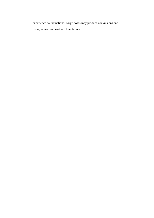experience hallucinations. Large doses may produce convulsions and coma, as well as heart and lung failure.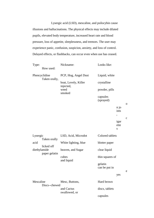Lysergic acid (LSD), mescaline, and psilocybin cause illusions and hallucinations. The physical effects may include dilated pupils, elevated body temperature, increased heart rate and blood pressure, loss of appetite, sleeplessness, and tremors. The user may experience panic, confusion, suspicion, anxiety, and loss of control. Delayed effects, or flashbacks, can occur even when use has ceased.

| Type:                         | How used:                      | Nickname:                         | Looks like:              |           |              |
|-------------------------------|--------------------------------|-----------------------------------|--------------------------|-----------|--------------|
|                               | Phencyclidine<br>Taken orally, | PCP, Hog, Angel Dust              | Liquid, white            |           |              |
|                               |                                | boat, Lovely, Killer<br>injected, | crystalline              |           |              |
|                               |                                | weed<br>smoked                    | powder, pills            |           |              |
|                               |                                |                                   | capsules<br>(sprayed)    |           |              |
|                               |                                |                                   |                          | n jo      | $\mathbf{O}$ |
|                               |                                |                                   |                          | ints      |              |
|                               |                                |                                   |                          | ,         | $\mathbf{C}$ |
|                               |                                |                                   |                          | igar      |              |
|                               |                                |                                   |                          | ette<br>S |              |
| Lysergic                      | Taken orally                   | LSD, Acid, Microdot               | Colored tablets          |           |              |
| acid                          | licked off                     | White lighting, blue              | blotter paper            |           |              |
| diethylamide<br>paper gelatin | heaven, and Sugar              | clear liquid                      |                          |           |              |
|                               | cubes<br>and liquid            | thin squares of                   |                          |           |              |
|                               |                                |                                   | gelatin<br>can be put in |           |              |
|                               |                                |                                   |                          | yes       | e            |
| Mescaline                     | Discs--chewed                  | Mesc, Buttons,                    | Hard brown               |           |              |
|                               |                                | and Cactus<br>swallowed, or       | discs, tablets           |           |              |
|                               |                                |                                   | capsules                 |           |              |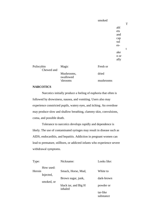smoked abl ets and cap sul esake n or ally Psilocybin Magic Fresh or Chewed and Mushrooms, dried swallowed

'shrooms mushrooms

T

t

# **NARCOTICS**

Narcotics initially produce a feeling of euphoria that often is followed by drowsiness, nausea, and vomiting. Users also may experience constricted pupils, watery eyes, and itching. An overdose may produce slow and shallow breathing, clammy skin, convulsions, coma, and possible death.

Tolerance to narcotics develops rapidly and dependence is likely. The use of contaminated syringes may result in disease such as AIDS, endocarditis, and hepatitis. Addiction in pregnant women can lead to premature, stillborn, or addicted infants who experience severe withdrawal symptoms.

| Type:                   | Nickname:                       | Looks like:           |
|-------------------------|---------------------------------|-----------------------|
| How used:<br>Heroin     | Smack, Horse, Mud,              | White to              |
| Injected,<br>smoked, or | Brown sugar, junk,              | dark-brown            |
|                         | black tar, and Big H<br>inhaled | powder or             |
|                         |                                 | tar-like<br>substance |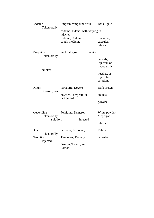| Codeine<br>Taken orally,     | Empirin compound with                        | Dark liquid                             |
|------------------------------|----------------------------------------------|-----------------------------------------|
|                              | codeine, Tylenol with varying in<br>injected |                                         |
|                              | codeine, Codeine in<br>cough medicine        | thickness,<br>capsules,<br>tablets      |
| Morphine<br>Taken orally,    | White<br>Pectoral syrup                      |                                         |
|                              |                                              | crystals,<br>injected, or<br>hypodermic |
| smoked                       |                                              | needles, or<br>injectable<br>solutions  |
| Opium<br>Smoked, eaten       | Paregoric, Dover's                           | Dark brown                              |
|                              | powder, Parepectolin<br>or injected          | chunks,                                 |
|                              |                                              | powder                                  |
| Meperidine<br>Taken orally,  | Pethidine, Demerol,<br>solution,<br>injected | White powder<br>Mepergan                |
|                              |                                              | tablets                                 |
| Other<br>Taken orally,       | Percocet, Percodan,                          | Tables or                               |
| <b>Narcotics</b><br>injected | Tussionex, Fentanyl,                         | capsules                                |
|                              | Darvon, Talwin, and<br>Lomotil               |                                         |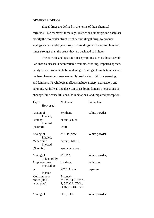#### **DESIGNER DRUGS**

Illegal drugs are defined in the terms of their chemical formulas. To circumvent these legal restrictions, underground chemists modify the molecular structure of certain illegal drugs to produce analogs known as designer drugs. These drugs can be several hundred times stronger than the drugs they are designed to imitate.

The narcotic analogs can cause symptoms such as those seen in Parkinson's disease: uncontrollable tremors, drooling, impaired speech, paralysis, and irreversible brain damage. Analogs of amphetamines and methamphetamines cause nausea, blurred vision, chills or sweating, and faintness. Psychological effects include anxiety, depression, and paranoia. As little as one dose can cause brain damage The analogs of phencyclidine cause illusions, hallucinations, and impaired perception.

| Type:                                     | Nickname:                                                      | Looks like:   |
|-------------------------------------------|----------------------------------------------------------------|---------------|
| How used:                                 |                                                                |               |
| Analog of<br>Inhaled,                     | Synthetic                                                      | White powder  |
| Fentanyl<br>injected                      | heroin, China                                                  |               |
| (Narcotic)                                | white                                                          |               |
| Analog of<br>Inhaled,                     | <b>MPTP</b> (New                                               | White powder  |
| Meperidine<br>injected                    | heroin), MPPP,                                                 |               |
| (Narcotic)                                | synthetic heroin                                               |               |
| Analog of<br>Taken orally,                | <b>MDMA</b>                                                    | White powder, |
| Amphetamines<br>injected or               | (Ecstasy,                                                      | tablets, or   |
| <sub>or</sub><br>inhaled                  | XCT, Adam,                                                     | capsules      |
| Methampheta<br>mines (Hall-<br>ucinogens) | Essence),<br>MDM, STP, PMA,<br>2, 5-DMA, TMA,<br>DOM, DOB, EVE |               |
| Analog of                                 | PCP, PCE                                                       | White powder  |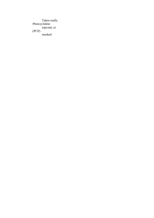Taken orally Phencyclidine injected, or (PCP) smoked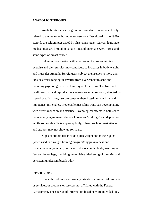#### **ANABOLIC STEROIDS**

Anabolic steroids are a group of powerful compounds closely related to the male sex hormone testosterone. Developed in the 1930's, steroids are seldom prescribed by physicians today. Current legitimate medical uses are limited to certain kinds of anemia, severe burns, and some types of breast cancer.

Taken in combination with a program of muscle-building exercise and diet, steroids may contribute to increases in body weight and muscular strength. Steroid users subject themselves to more than 70 side effects ranging in severity from liver cancer to acne and including psychological as well as physical reactions. The liver and cardiovascular and reproductive systems are most seriously affected by steroid use. In males, use can cause withered testicles, sterility, and impotence. In females, irreversible masculine traits can develop along with breast reduction and sterility. Psychological effects in both sexes include very aggressive behavior known as "roid rage" and depression. While some side effects appear quickly, others, such as heart attacks and strokes, may not show up for years.

Signs of steroid use include quick weight and muscle gains (when used in a weight training program); aggressiveness and combativeness; jaundice; purple or red spots on the body; swelling of feet and lower legs; trembling; unexplained darkening of the skin; and persistent unpleasant breath odor.

## **RESOURCES**

The authors do not endorse any private or commercial products or services, or products or services not affiliated with the Federal Government. The sources of information listed here are intended only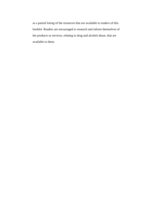as a partial listing of the resources that are available to readers of this booklet. Readers are encouraged to research and inform themselves of the products or services, relating to drug and alcohol abuse, that are available to them.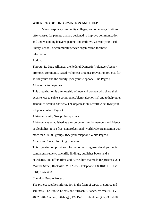#### **WHERE TO GET INFORMATION AND HELP**

Many hospitals, community colleges, and other organizations offer classes for parents that are designed to improve communication and understanding between parents and children. Consult your local library, school, or community service organization for more information.

#### Action.

Through its Drug Alliance, the Federal Domestic Volunteer Agency promotes community based, volunteer drug use prevention projects for at-risk youth and the elderly. (See your telephone Blue Pages.)

# Alcoholics Anonymous.

This organization is a fellowship of men and women who share their experiences to solve a common problem (alcoholism) and to help other alcoholics achieve sobriety. The organization is worldwide. (See your telephone White Pages.)

# Al-Anon Family Group Headquarters.

Al-Anon was established as a resource for family members and friends of alcoholics. It is a free, nonprofessional, worldwide organization with more than 30,000 groups. (See your telephone White Pages.)

# American Council for Drug Education.

This organization provides information on drug use, develops media campaigns, reviews scientific findings, publishes books and a newsletter, and offers films and curriculum materials for preteens. 204 Monroe Street, Rockville, MD 20850. Telephone 1-800488 DRUG/ (301) 294-0600.

#### Chemical People Project.

The project supplies information in the form of tapes, literature, and seminars. The Public Television Outreach Alliance, c/o WQED-TV, 4802 Fifth Avenue, Pittsburgh, PA 15213. Telephone (412) 391-0900.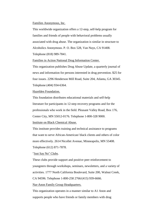#### Families Anonymous, Inc.

This worldwide organization offers a 12-step, self-help program for families and friends of people with behavioral problems usually associated with drug abuse. The organization is similar in structure to Alcoholics Anonymous. P. O. Box 528, Van Nuys, CA 91408. Telephone (818) 989-7841.

Families in Action National Drug Information Center.

This organization publishes Drug Abuse Update, a quarterly journal of news and information for persons interested in drug prevention. \$25 for four issues. 2296 Henderson Mill Road, Suite 204, Atlanta, GA 30345. Telephone (404) 934-6364.

Hazelden Foundation.

This foundation distributes educational materials and self-help literature for participants in 12-step recovery programs and for the professionals who work in the field. Pleasant Valley Road, Box 176, Center City, MN 55012-0176. Telephone 1-800-328 9000.

Institute on Black Chemical Abuse.

This institute provides training and technical assistance to programs that want to serve African-American/ black clients and others of color more effectively. 2614 Nicollet Avenue, Minneapolis, MN 55408. Telephone (612) 871-7878.

"Just Say No" Clubs.

These clubs provide support and positive peer reinforcement to youngsters through workshops, seminars, newsletters, and a variety of activities. 1777 North California Boulevard, Suite 200, Walnut Creek, CA 94596. Telephone 1-800-258 2766/(415) 939-6666.

Nar-Anon Family Group Headquarters.

This organization operates in a manner similar to A1 Anon and supports people who have friends or family members with drug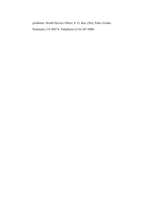problems. World Service Office, P. O. Box 2562, Palos Verdes Peninsula, CA 90274. Telephone (213) 547-5800.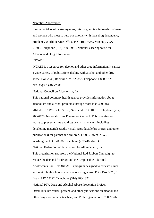#### Narcotics Anonymous.

Similar to Alcoholics Anonymous, this program is a fellowship of men and women who meet to help one another with their drug dependency problems. World Service Office, P. O. Box 9999, Van Nuys, CA 91409. Telephone (818) 780- 3951. National Clearinghouse for Alcohol and Drug Information.

#### (NCADI).

 NCADI is a resource for alcohol and other drug information. It carries a wide variety of publications dealing with alcohol and other drug abuse. Box 2345, Rockville, MD 20852. Telephone 1-800-SAY NOTO/(301) 468-2600.

#### National Council on Alcoholism, Inc.

This national voluntary health agency provides information about alcoholism and alcohol problems through more than 300 local affiliates. 12 West 21st Street, New York, NY 10010. Telephone (212) 206-6770. National Crime Prevention Council. This organization works to prevent crime and drug use in many ways, including developing materials (audio visual, reproducible brochures, and other publications) for parents and children. 1700 K Street, N.W., Washington, D.C. 20006. Telephone (202) 466-NCPC. National Federation of Parents for Drug-Free Youth, Inc. This organization sponsors the National Red Ribbon Campaign to reduce the demand for drugs and the Responsible Educated Adolescents Can Help (REACH) program designed to educate junior and senior high school students about drug abuse. P. O. Box 3878, St. Louis, MO 63122. Telephone (314) 968-1322.

National PTA Drug and Alcohol Abuse Prevention Project.

Offers kits, brochures, posters, and other publications on alcohol and other drugs for parents, teachers, and PTA organizations. 700 North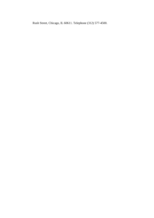Rush Street, Chicago, IL 60611. Telephone (312) 577-4500.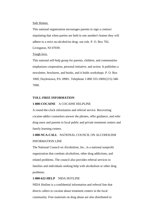#### Safe Homes.

This national organization encourages parents to sign a contract stipulating that when parties are held in one another's homes they will adhere to a strict no-alcohol/no drug- use rule. P. O. Box 702, Livingston, NJ 07039.

# Tough love.

This national self-help group for parents, children, and communities emphasizes cooperation, personal initiative, and action. It publishes a newsletter, brochures, and books, and it holds workshops. P. O. Box 1069, Doylestown, PA 18901. Telephone 1-800 333-1069/(215) 348- 7090.

# **TOLL-FREE INFORMATION**

# **1-800-COCAINE** A COCAINE HELPLINE

A round-the-clock information and referral service. Recovering cocaine-addict counselors answer the phones, offer guidance, and refer drug users and parents to local public and private treatment centers and family learning centers.

# **1-800-NCA-CALL** NATIONAL COUNCIL ON ALCOHOLISM INFORMATION LINE

The National Council on Alcoholism, Inc., Is a national nonprofit organization that combats alcoholism, other drug addictions, and related problems. The council also provides referral services to families and individuals seeking help with alcoholism or other drug problems.

# **1-800-622-HELP** NIDA HOTLINE

NIDA Hotline is a confidential information and referral line that directs callers to cocaine abuse treatment centers in the local community. Free materials on drug abuse are also distributed in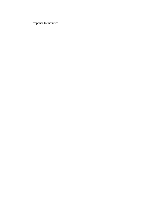response to inquiries.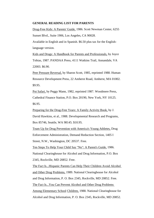## **GENERAL READING LIST FOR PARENTS**

Drug-Free Kids: A Parents' Guide, 1986. Scott Newman Center, 6255 Sunset Blvd., Suite 1906, Los Angeles, CA 90028.

Available in English and in Spanish. \$6.50 plus tax for the Englishlanguage version.

Kids and Drugs: A Handbook for Parents and Professionals, by Joyce Tobias, 1987. PANDAA Press, 4111 Watkins Trail, Annandale, VA 22003. \$6.90.

Peer Pressure Reversal, by Sharon Scott, 1985, reprinted 1988. Human Resource Development Press, 22 Amherst Road, Amherst, MA 01002. \$9.95.

Pot Safari, by Peggy Mann, 1982, reprinted 1987. Woodmere Press, Cathedral Finance Station, P.O. Box 20190, New York, NY 10125. \$6.95.

Preparing for the Drug-Free Years: A Family Activity Book, by J. David Hawkins, et al., 1988. Developmental Research and Programs, Box 85746, Seattle, WA 98145. \$10.95.

Team Up for Drug Prevention with America's Young Athletes, Drug Enforcement Administration, Demand Reduction Section, 1405 I Street, N.W., Washington, DC 20537. Free.

Ten Steps To Help Your Child Say "No": A Parent's Guide, 1986. National Clearinghouse for Alcohol and Drug Information, P.O. Box 2345, Rockville, MD 20852. Free.

The Fact Is...Hispanic Parents Can Help Their Children Avoid Alcohol and Other Drug Problems, 1989. National Clearinghouse for Alcohol and Drug Information, P. O. Box 2345, Rockville, MD 20852. Free. The Fact Is...You Can Prevent Alcohol and Other Drug Problems Among Elementary School Children, 1988. National Clearinghouse for Alcohol and Drug Information, P. O. Box 2345, Rockville, MD 20852.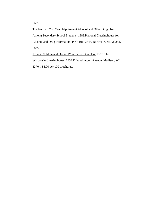Free.

The Fact Is...You Can Help Prevent Alcohol and Other Drug Use Among Secondary School Students, 1989.National Clearinghouse for Alcohol and Drug Information, P. O. Box 2345, Rockville, MD 20252. Free.

Young Children and Drugs: What Parents Can Do, 1987. The Wisconsin Clearinghouse, 1954 E. Washington Avenue, Madison, WI 53704. \$6.00 per 100 brochures.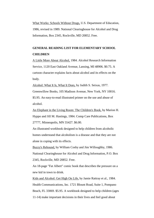What Works: Schools Without Drugs, U.S. Department of Education, 1986, revised in 1989. National Clearinghouse for Alcohol and Drug Information, Box 2345, Rockville, MD 20852. Free.

# **GENERAL READING LIST FOR ELEMENTARY SCHOOL CHILDREN**

A Little More About Alcohol, 1984. Alcohol Research Information Service, 1120 East Oakland Avenue, Lansing, MI 48906. \$0.75. A cartoon character explains facts about alcohol and its effects on the body.

Alcohol: What It Is, What It Does, by Judith S. Seixas, 1977. Greenwillow Books, 105 Madison Avenue, New York, NY 10016. \$5.95. An easy-to-read illustrated primer on the use and abuse of alcohol.

An Elephant in the Living Room: The Children's Book, by Marion H. Hyppo and Jill M. Hastings, 1984. Comp Care Publications, Box 27777, Minneapolis, MN 55427. \$6.00.

An illustrated workbook designed to help children from alcoholic homes understand that alcoholism is a disease and that they are not alone in coping with its effects.

Buzzy's Rebound, by William Cosby and Jim Willoughby, 1986. National Clearinghouse for Alcohol and Drug Information, P.O. Box 2345, Rockville, MD 20852. Free.

An 18-page "Fat Albert" comic book that describes the pressure on a new kid in town to drink.

Kids and Alcohol: Get High On Life, by Jamie Rattray et al., 1984. Health Communications, Inc. 1721 Blount Road, Suite 1, Pompano Beach, FL 33069. \$5.95. A workbook designed to help children (ages 11-14) make important decisions in their lives and feel good about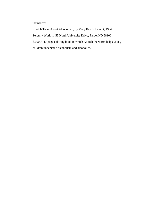themselves.

Kootch Talks About Alcoholism, by Mary Kay Schwandt, 1984. Serenity Work, 1455 North University Drive, Fargo, ND 58102. \$3.00.A 40-page coloring book in which Kootch the worm helps young children understand alcoholism and alcoholics.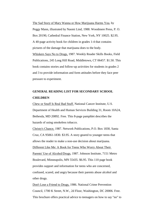The Sad Story of Mary Wanna or How Marijuana Harms You, by Peggy Mann, illustrated by Naomi Lind, 1988. Woodmere Press, P. O. Box 20190, Cathedral Finance Station, New York, NY 10025. \$2.95. A 40-page activity book for children in grades 1-4 that contains pictures of the damage that marijuana does to the body. Whiskers Says No to Drugs, 1987. Weekly Reader Skills Books, Field Publications, 245 Long Hill Road, Middletown, CT 06457. \$1.50. This book contains stories and follow-up activities for students in grades 2 and 3 to provide information and form attitudes before they face peer pressure to experiment.

# **GENERAL READING LIST FOR SECONDARY SCHOOL CHILDREN**

Chew or Snuff Is Real Bad Stuff. National Cancer Institute, U.S. Department of Health and Human Services Building 31, Room 10A24, Bethesda, MD 20892. Free. This 8-page pamphlet describes the hazards of using smokeless tobacco.

Christy's Chance, 1987. Network Publications, P.O. Box 1830, Santa Cruz, CA 95061-1830. \$3.95. A story geared to younger teens that allows the reader to make a non-use decision about marijuana. Different Like Me: A Book for Teens Who Worry About Their Parents' Use of Alcohol/Drugs, 1987. Johnson Institute, 7151 Metro Boulevard, Minneapolis, MN 55435. \$6.95. This 110 page book provides support and information for teens who are concerned, confused, scared, and angry because their parents abuse alcohol and other drugs.

Don't Lose a Friend to Drugs, 1986. National Crime Prevention Council, 1700 K Street, N.W., 2d Floor, Washington, DC 20006. Free. This brochure offers practical advice to teenagers on how to say "no" to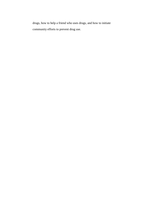drugs, how to help a friend who uses drugs, and how to initiate community efforts to prevent drug use.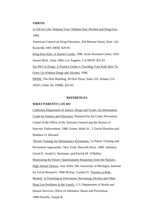## **VIDEOS**

A Gift for Life: Helping Your Children Stay Alcohol and Drug Free, 1989.

American Council on Drug Education, 204 Monroe Street, Suite 110, Rockville, MD 20850. \$29.95.

Drug-Free Kids: A Parent's Guide, 1986. Scott Newman Center, 6255 Sunset Blvd., Suite 1906, Los Angeles, CA 90028. \$32.50

Say NO! to Drugs: A Parent's Guide to Teaching Your Kids How To Grow Up Without Drugs and Alcohol, 1986.

PRIDE, The Hurt Building, 50 Hurt Plaza, Suite 210, Atlanta, GA 30303. Order No. F008S, \$25.95.

#### **REFERENCES**

# **WHAT PARENTS CAN DO**

California Department of Justice. Drugs and Youth: An Information Guide for Parents and Educators. Produced by the Crime Prevention Center of the Office of the Attorney General and the Bureau of Narcotic Enforcement, 1988. Eraser, Mark W., J. David Hawkins and Matthew O. Howard.

"Parent Training for Delinquency Prevention," in Parent Training and Prevention Approaches. New York: Haworth Press, 1988. Johnston, Lloyd D., Jerald G. Bachman, and Patrick M. O'Malley.

Monitoring the Future: Questionnaire Responses from the Nation's

High School Seniors. Ann Arbor, MI: University of Michigan, Institute

for Social Research, 1988 McKay, Gordon D. "Parents as Role

Models" in Parenting as Prevention: Preventing Alcohol and Other

Drug Use Problems in the Family. U.S. Department of Health and

Human Services, Office of Substance Abuse and Prevention,

1989.Novello, Joseph R.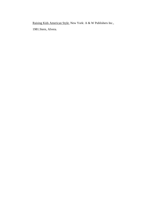Raising Kids American Style. New York: A & W Publishers Inc.,

1981.Stern, Alvera.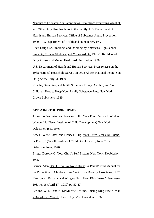"Parents as Educators" in Parenting as Prevention: Preventing Alcohol and Other Drug Use Problems in the Family. U.S. Department of Health and Human Services, Office of Substance Abuse Prevention, 1989. U.S. Department of Health and Human Services. Illicit Drug Use, Smoking, and Drinking by America's High School Students, College Students, and Young Adults, 1975-1987. Alcohol, Drug Abuse, and Mental Health Administration, 1988 U.S. Department of Health and Human Services. Press release on the 1988 National Household Survey on Drug Abuse. National Institute on Drug Abuse, July 31, 1989. Youcha, Geraldine, and Judith S. Seixas. Drugs, Alcohol, and Your Children: How to Keep Your Family Substance-Free. New York: Crown Publishers, 1989.

# **APPLYING THE PRINCIPLES**

Ames, Louise Bates, and Frances L. Ilg. Your Four Year Old: Wild and Wonderful. (Gesell Institute of Child Development) New York: Delacorte Press, 1976. Ames, Louise Bates, and Frances L. Ilg. Your Three-Year Old: Friend

or Enemy? (Gesell Institute of Child Development) New York:

Delacorte Press, 1976.

Briggs, Dorothy C. Your Child's Self-Esteem. New York: Doubleday, 1975.

Garner, Alan. It's O.K. to Say No to Drugs: A Parent/Child Manual for the Protection of Children. New York: Tom Doherty Associates, 1987. Kantrowitz, Barbara, and Wingert, Pat. "How Kids Learn," Newsweek 103, no. 16 (April 17, 1989):pp-50-57.

Perkins, W. M., and N. McMurtrie-Perkins. Raising Drug-Free Kids in a Drug-Filled World. Center City, MN: Hazelden, 1986.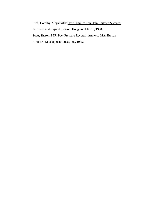Rich, Dorothy. MegaSkills: How Families Can Help Children Succeed in School and Beyond. Boston: Houghton Mifflin, 1988. Scott, Sharon. PPR: Peer Pressure Reversal. Amherst, MA: Human Resource Development Press, Inc., 1985.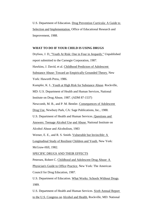U.S. Department of Education. Drug Prevention Curricula: A Guide to Selection and Implementation. Office of Educational Research and Improvement, 1988.

## **WHAT TO DO IF YOUR CHILD IS USING DRUGS**

Dryfoos, J. D. "Youth At Risk: One in Four in Jeopardy." Unpublished report submitted to the Carnegie Corporation, 1987. Hawkins, J. David, et al. Childhood Predictors of Adolescent Substance Abuse: Toward an Empirically Grounded Theory. New York: Haworth Press, 1986. Kumpfer, K. L. Youth at High Risk for Substance Abuse. Rockville, MD: U.S. Department of Health and Human Services, National Institute on Drug Abuse, 1987. (ADM 87-1537) Newcomb, M. B., and P. M. Bentler. Consequences of Adolescent Drug Use. Newbury Park, CA: Sage Publications, Inc., 1988. U.S. Department of Health and Human Services. Questions and Answers: Teenage Alcohol Use and Abuse. National Institute on Alcohol Abuse and Alcoholism, 1983 Werner, E. E., and R. S. Smith. Vulnerable but Invincible: A Longitudinal Study of Resilient Children and Youth. New York: McGraw-Hill, 1982. SPECIFIC DRUGS AND THEIR EFFECTS Petersen, Robert C. Childhood and Adolescent Drug Abuse: A Physician's Guide to Office Practice. New York: The American Council for Drug Education, 1987.

U.S. Department of Education. What Works: Schools Without Drugs. 1989.

U.S. Department of Health and Human Services. Sixth Annual Report to the U.S. Congress on Alcohol and Health. Rockville, MD: National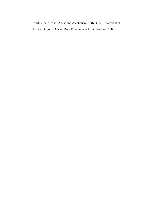Institute on Alcohol Abuse and Alcoholism, 1987. U.S. Department of Justice. Drugs of Abuse. Drug Enforcement Administration, 1988.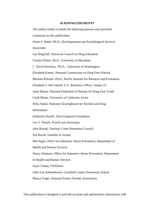#### **ACKNOWLEDGMENTS**

The author wishes to thank the following persons who provided comments on this publication:

Owen S. Bubel, Ph.D., Developmental and Psychological Services Associates

Lee Dogoloff, American Council on Drug Education

Charles Flatter, Ph.D., University of Maryland

J. David Hawkins, Ph.D., University of Washington

Elizabeth Kames, National Commission on Drug Free Schools

Michael Klitzner, Ph.D., Pacific Institute for Research and Evaluation

Elizabeth S. McConnell, U.S. Attorney's Office, Tampa, FL

Anne Meyer, National Federation of Parents for Drug-Free Youth

Cindi Moats, University of California, Irvine

Nelia Nadal, National Clearinghouse for Alcohol and Drug

Information

Katherine Powell, Alice Ferguson Foundation

Leo T. Powell, Powell and Associates

John Rosiak, National Crime Prevention Council

Sue Ruche, Families in Action

Mel Segal, Office for Substance Abuse Prevention, Department of

Health and Human Services

Nancy Simpson, Office for Substance Abuse Prevention, Department

of Health and Human Services

Joyce Tobias, PANDAA

John Van Schoonhoven, Greenbelt Center Elementary School

Manya Unger, National Parent-Teacher Association

This publication is designed to provide accurate and authoritative information with